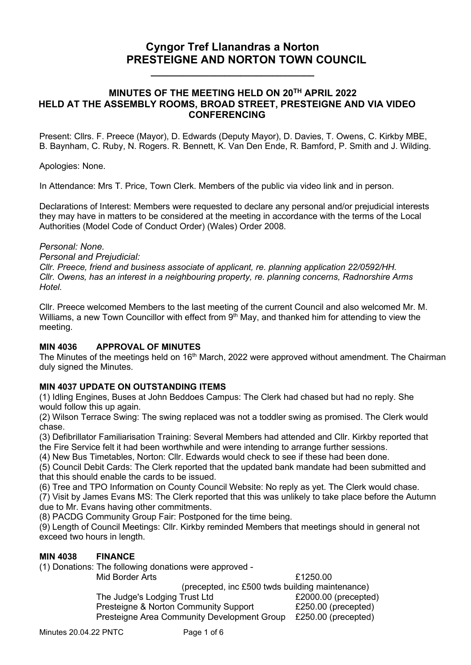# **Cyngor Tref Llanandras a Norton PRESTEIGNE AND NORTON TOWN COUNCIL**

## **MINUTES OF THE MEETING HELD ON 20TH APRIL 2022 HELD AT THE ASSEMBLY ROOMS, BROAD STREET, PRESTEIGNE AND VIA VIDEO CONFERENCING**

**\_\_\_\_\_\_\_\_\_\_\_\_\_\_\_\_\_\_\_\_\_\_\_\_\_\_\_\_\_\_\_**

 Present: Cllrs. F. Preece (Mayor), D. Edwards (Deputy Mayor), D. Davies, T. Owens, C. Kirkby MBE, B. Baynham, C. Ruby, N. Rogers. R. Bennett, K. Van Den Ende, R. Bamford, P. Smith and J. Wilding.

Apologies: None.

In Attendance: Mrs T. Price, Town Clerk. Members of the public via video link and in person.

Declarations of Interest: Members were requested to declare any personal and/or prejudicial interests they may have in matters to be considered at the meeting in accordance with the terms of the Local Authorities (Model Code of Conduct Order) (Wales) Order 2008.

#### *Personal: None.*

*Personal and Prejudicial:*

*Cllr. Preece, friend and business associate of applicant, re. planning application 22/0592/HH. Cllr. Owens, has an interest in a neighbouring property, re. planning concerns, Radnorshire Arms Hotel.*

Cllr. Preece welcomed Members to the last meeting of the current Council and also welcomed Mr. M. Williams, a new Town Councillor with effect from  $9<sup>th</sup>$  May, and thanked him for attending to view the meeting.

## **MIN 4036 APPROVAL OF MINUTES**

The Minutes of the meetings held on 16<sup>th</sup> March, 2022 were approved without amendment. The Chairman duly signed the Minutes.

## **MIN 4037 UPDATE ON OUTSTANDING ITEMS**

(1) Idling Engines, Buses at John Beddoes Campus: The Clerk had chased but had no reply. She would follow this up again.

(2) Wilson Terrace Swing: The swing replaced was not a toddler swing as promised. The Clerk would chase.

(3) Defibrillator Familiarisation Training: Several Members had attended and Cllr. Kirkby reported that the Fire Service felt it had been worthwhile and were intending to arrange further sessions.

(4) New Bus Timetables, Norton: Cllr. Edwards would check to see if these had been done.

(5) Council Debit Cards: The Clerk reported that the updated bank mandate had been submitted and that this should enable the cards to be issued.

(6) Tree and TPO Information on County Council Website: No reply as yet. The Clerk would chase.

(7) Visit by James Evans MS: The Clerk reported that this was unlikely to take place before the Autumn due to Mr. Evans having other commitments.

(8) PACDG Community Group Fair: Postponed for the time being.

(9) Length of Council Meetings: Cllr. Kirkby reminded Members that meetings should in general not exceed two hours in length.

#### **MIN 4038 FINANCE**

(1) Donations: The following donations were approved -

Mid Border Arts **E1250.00** (precepted, inc £500 twds building maintenance) The Judge's Lodging Trust Ltd £2000.00 (precepted) Presteigne & Norton Community Support £250.00 (precepted) Presteigne Area Community Development Group £250.00 (precepted)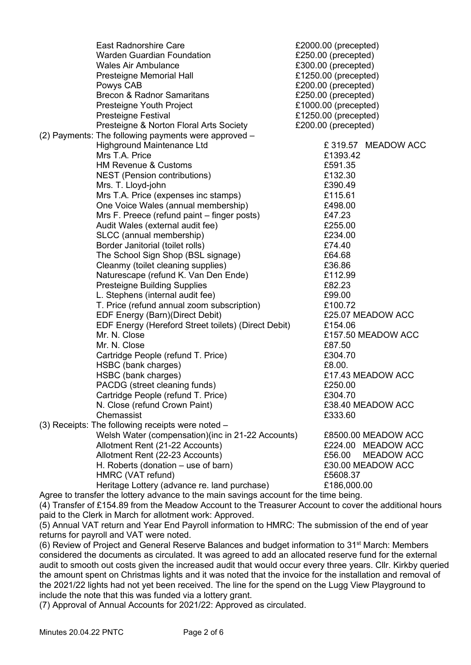| <b>East Radnorshire Care</b>                         | £2000.00 (precepted)        |
|------------------------------------------------------|-----------------------------|
| <b>Warden Guardian Foundation</b>                    | £250.00 (precepted)         |
| <b>Wales Air Ambulance</b>                           | £300.00 (precepted)         |
| Presteigne Memorial Hall                             | £1250.00 (precepted)        |
| Powys CAB                                            | £200.00 (precepted)         |
| <b>Brecon &amp; Radnor Samaritans</b>                | £250.00 (precepted)         |
| Presteigne Youth Project                             | £1000.00 (precepted)        |
| <b>Presteigne Festival</b>                           | £1250.00 (precepted)        |
| Presteigne & Norton Floral Arts Society              | £200.00 (precepted)         |
| (2) Payments: The following payments were approved - |                             |
| <b>Highground Maintenance Ltd</b>                    | £319.57 MEADOW ACC          |
| Mrs T.A. Price                                       | £1393.42                    |
| <b>HM Revenue &amp; Customs</b>                      | £591.35                     |
| NEST (Pension contributions)                         | £132.30                     |
| Mrs. T. Lloyd-john                                   | £390.49                     |
| Mrs T.A. Price (expenses inc stamps)                 | £115.61                     |
| One Voice Wales (annual membership)                  | £498.00                     |
| Mrs F. Preece (refund paint – finger posts)          | £47.23                      |
| Audit Wales (external audit fee)                     | £255.00                     |
| SLCC (annual membership)                             | £234.00                     |
| Border Janitorial (toilet rolls)                     | £74.40                      |
| The School Sign Shop (BSL signage)                   | £64.68                      |
| Cleanmy (toilet cleaning supplies)                   | £36.86                      |
| Naturescape (refund K. Van Den Ende)                 | £112.99                     |
| <b>Presteigne Building Supplies</b>                  | £82.23                      |
| L. Stephens (internal audit fee)                     | £99.00                      |
| T. Price (refund annual zoom subscription)           | £100.72                     |
| EDF Energy (Barn)(Direct Debit)                      | £25.07 MEADOW ACC           |
| EDF Energy (Hereford Street toilets) (Direct Debit)  | £154.06                     |
| Mr. N. Close                                         | £157.50 MEADOW ACC          |
| Mr. N. Close                                         | £87.50                      |
| Cartridge People (refund T. Price)                   | £304.70                     |
| HSBC (bank charges)                                  | £8.00.                      |
| HSBC (bank charges)                                  | £17.43 MEADOW ACC           |
| PACDG (street cleaning funds)                        | £250.00                     |
| Cartridge People (refund T. Price)                   | £304.70                     |
| N. Close (refund Crown Paint)                        | £38.40 MEADOW ACC           |
| Chemassist                                           | £333.60                     |
| (3) Receipts: The following receipts were noted -    |                             |
| Welsh Water (compensation)(inc in 21-22 Accounts)    | £8500.00 MEADOW ACC         |
| Allotment Rent (21-22 Accounts)                      | £224.00 MEADOW ACC          |
| Allotment Rent (22-23 Accounts)                      | £56.00<br><b>MEADOW ACC</b> |
| H. Roberts (donation – use of barn)                  | £30.00 MEADOW ACC           |
| HMRC (VAT refund)                                    | £5608.37                    |
| Heritage Lottery (advance re. land purchase)         | £186,000.00                 |

Agree to transfer the lottery advance to the main savings account for the time being.

(4) Transfer of £154.89 from the Meadow Account to the Treasurer Account to cover the additional hours paid to the Clerk in March for allotment work: Approved.

(5) Annual VAT return and Year End Payroll information to HMRC: The submission of the end of year returns for payroll and VAT were noted.

(6) Review of Project and General Reserve Balances and budget information to 31<sup>st</sup> March: Members considered the documents as circulated. It was agreed to add an allocated reserve fund for the external audit to smooth out costs given the increased audit that would occur every three years. Cllr. Kirkby queried the amount spent on Christmas lights and it was noted that the invoice for the installation and removal of the 2021/22 lights had not yet been received. The line for the spend on the Lugg View Playground to include the note that this was funded via a lottery grant.

(7) Approval of Annual Accounts for 2021/22: Approved as circulated.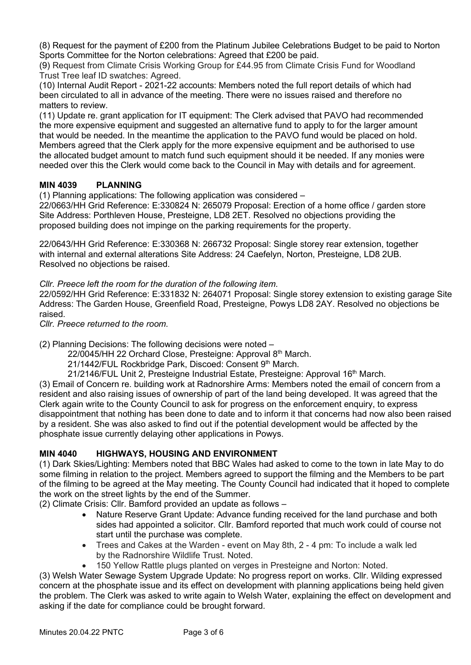(8) Request for the payment of £200 from the Platinum Jubilee Celebrations Budget to be paid to Norton Sports Committee for the Norton celebrations: Agreed that £200 be paid.

(9) Request from Climate Crisis Working Group for £44.95 from Climate Crisis Fund for Woodland Trust Tree leaf ID swatches: Agreed.

(10) Internal Audit Report - 2021-22 accounts: Members noted the full report details of which had been circulated to all in advance of the meeting. There were no issues raised and therefore no matters to review.

(11) Update re. grant application for IT equipment: The Clerk advised that PAVO had recommended the more expensive equipment and suggested an alternative fund to apply to for the larger amount that would be needed. In the meantime the application to the PAVO fund would be placed on hold. Members agreed that the Clerk apply for the more expensive equipment and be authorised to use the allocated budget amount to match fund such equipment should it be needed. If any monies were needed over this the Clerk would come back to the Council in May with details and for agreement.

# **MIN 4039 PLANNING**

(1) Planning applications: The following application was considered –

22/0663/HH Grid Reference: E:330824 N: 265079 Proposal: Erection of a home office / garden store Site Address: Porthleven House, Presteigne, LD8 2ET. Resolved no objections providing the proposed building does not impinge on the parking requirements for the property.

22/0643/HH Grid Reference: E:330368 N: 266732 Proposal: Single storey rear extension, together with internal and external alterations Site Address: 24 Caefelyn, Norton, Presteigne, LD8 2UB. Resolved no objections be raised.

*Cllr. Preece left the room for the duration of the following item.*

22/0592/HH Grid Reference: E:331832 N: 264071 Proposal: Single storey extension to existing garage Site Address: The Garden House, Greenfield Road, Presteigne, Powys LD8 2AY. Resolved no objections be raised.

*Cllr. Preece returned to the room.*

(2) Planning Decisions: The following decisions were noted –

22/0045/HH 22 Orchard Close, Presteigne: Approval 8<sup>th</sup> March.

21/1442/FUL Rockbridge Park, Discoed: Consent 9<sup>th</sup> March.

21/2146/FUL Unit 2, Presteigne Industrial Estate, Presteigne: Approval 16th March.

(3) Email of Concern re. building work at Radnorshire Arms: Members noted the email of concern from a resident and also raising issues of ownership of part of the land being developed. It was agreed that the Clerk again write to the County Council to ask for progress on the enforcement enquiry, to express disappointment that nothing has been done to date and to inform it that concerns had now also been raised by a resident. She was also asked to find out if the potential development would be affected by the phosphate issue currently delaying other applications in Powys.

## **MIN 4040 HIGHWAYS, HOUSING AND ENVIRONMENT**

(1) Dark Skies/Lighting: Members noted that BBC Wales had asked to come to the town in late May to do some filming in relation to the project. Members agreed to support the filming and the Members to be part of the filming to be agreed at the May meeting. The County Council had indicated that it hoped to complete the work on the street lights by the end of the Summer.

(2) Climate Crisis: Cllr. Bamford provided an update as follows –

- Nature Reserve Grant Update: Advance funding received for the land purchase and both sides had appointed a solicitor. Cllr. Bamford reported that much work could of course not start until the purchase was complete.
- Trees and Cakes at the Warden event on May 8th, 2 4 pm: To include a walk led by the Radnorshire Wildlife Trust. Noted.
- 150 Yellow Rattle plugs planted on verges in Presteigne and Norton: Noted.

(3) Welsh Water Sewage System Upgrade Update: No progress report on works. Cllr. Wilding expressed concern at the phosphate issue and its effect on development with planning applications being held given the problem. The Clerk was asked to write again to Welsh Water, explaining the effect on development and asking if the date for compliance could be brought forward.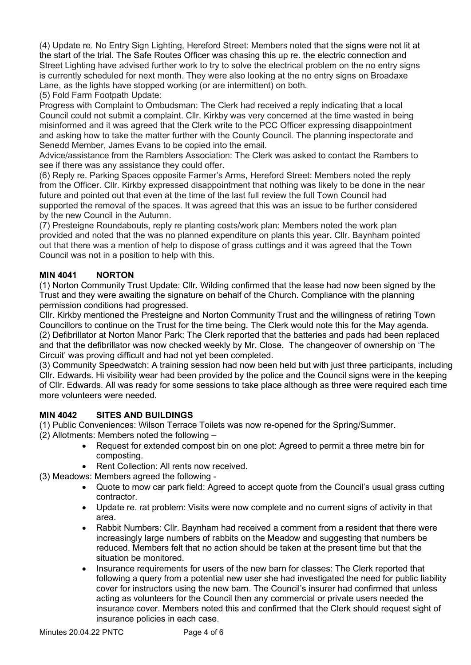(4) Update re. No Entry Sign Lighting, Hereford Street: Members noted that the signs were not lit at the start of the trial. The Safe Routes Officer was chasing this up re. the electric connection and Street Lighting have advised further work to try to solve the electrical problem on the no entry signs is currently scheduled for next month. They were also looking at the no entry signs on Broadaxe Lane, as the lights have stopped working (or are intermittent) on both*.*

(5) Fold Farm Footpath Update:

Progress with Complaint to Ombudsman: The Clerk had received a reply indicating that a local Council could not submit a complaint. Cllr. Kirkby was very concerned at the time wasted in being misinformed and it was agreed that the Clerk write to the PCC Officer expressing disappointment and asking how to take the matter further with the County Council. The planning inspectorate and Senedd Member, James Evans to be copied into the email.

Advice/assistance from the Ramblers Association: The Clerk was asked to contact the Rambers to see if there was any assistance they could offer.

(6) Reply re. Parking Spaces opposite Farmer's Arms, Hereford Street: Members noted the reply from the Officer. Cllr. Kirkby expressed disappointment that nothing was likely to be done in the near future and pointed out that even at the time of the last full review the full Town Council had supported the removal of the spaces. It was agreed that this was an issue to be further considered by the new Council in the Autumn.

(7) Presteigne Roundabouts, reply re planting costs/work plan: Members noted the work plan provided and noted that the was no planned expenditure on plants this year. Cllr. Baynham pointed out that there was a mention of help to dispose of grass cuttings and it was agreed that the Town Council was not in a position to help with this.

## **MIN 4041 NORTON**

(1) Norton Community Trust Update: Cllr. Wilding confirmed that the lease had now been signed by the Trust and they were awaiting the signature on behalf of the Church. Compliance with the planning permission conditions had progressed.

Cllr. Kirkby mentioned the Presteigne and Norton Community Trust and the willingness of retiring Town Councillors to continue on the Trust for the time being. The Clerk would note this for the May agenda. (2) Defibrillator at Norton Manor Park: The Clerk reported that the batteries and pads had been replaced and that the defibrillator was now checked weekly by Mr. Close. The changeover of ownership on 'The Circuit' was proving difficult and had not yet been completed.

(3) Community Speedwatch: A training session had now been held but with just three participants, including Cllr. Edwards. Hi visibility wear had been provided by the police and the Council signs were in the keeping of Cllr. Edwards. All was ready for some sessions to take place although as three were required each time more volunteers were needed.

## **MIN 4042 SITES AND BUILDINGS**

(1) Public Conveniences: Wilson Terrace Toilets was now re-opened for the Spring/Summer.

- (2) Allotments: Members noted the following
	- Request for extended compost bin on one plot: Agreed to permit a three metre bin for composting.
	- Rent Collection: All rents now received.
- (3) Meadows: Members agreed the following
	- Quote to mow car park field: Agreed to accept quote from the Council's usual grass cutting contractor.
	- Update re. rat problem: Visits were now complete and no current signs of activity in that area.
	- Rabbit Numbers: Cllr. Baynham had received a comment from a resident that there were increasingly large numbers of rabbits on the Meadow and suggesting that numbers be reduced. Members felt that no action should be taken at the present time but that the situation be monitored.
	- Insurance requirements for users of the new barn for classes: The Clerk reported that following a query from a potential new user she had investigated the need for public liability cover for instructors using the new barn. The Council's insurer had confirmed that unless acting as volunteers for the Council then any commercial or private users needed the insurance cover. Members noted this and confirmed that the Clerk should request sight of insurance policies in each case.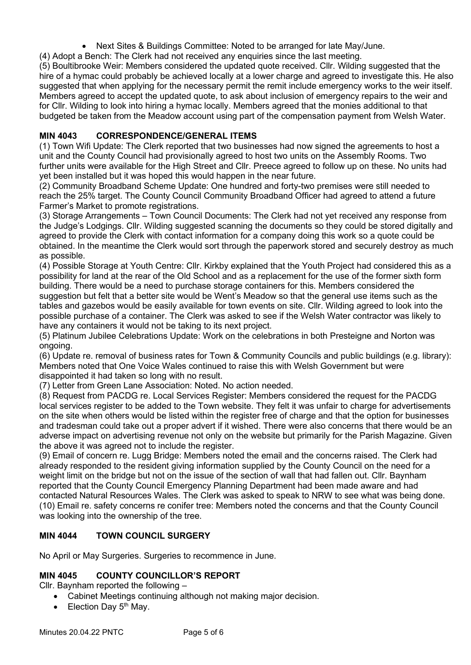• Next Sites & Buildings Committee: Noted to be arranged for late May/June.

(4) Adopt a Bench: The Clerk had not received any enquiries since the last meeting.

(5) Boultibrooke Weir: Members considered the updated quote received. Cllr. Wilding suggested that the hire of a hymac could probably be achieved locally at a lower charge and agreed to investigate this. He also suggested that when applying for the necessary permit the remit include emergency works to the weir itself. Members agreed to accept the updated quote, to ask about inclusion of emergency repairs to the weir and for Cllr. Wilding to look into hiring a hymac locally. Members agreed that the monies additional to that budgeted be taken from the Meadow account using part of the compensation payment from Welsh Water.

## **MIN 4043 CORRESPONDENCE/GENERAL ITEMS**

(1) Town Wifi Update: The Clerk reported that two businesses had now signed the agreements to host a unit and the County Council had provisionally agreed to host two units on the Assembly Rooms. Two further units were available for the High Street and Cllr. Preece agreed to follow up on these. No units had yet been installed but it was hoped this would happen in the near future.

(2) Community Broadband Scheme Update: One hundred and forty-two premises were still needed to reach the 25% target. The County Council Community Broadband Officer had agreed to attend a future Farmer's Market to promote registrations.

(3) Storage Arrangements – Town Council Documents: The Clerk had not yet received any response from the Judge's Lodgings. Cllr. Wilding suggested scanning the documents so they could be stored digitally and agreed to provide the Clerk with contact information for a company doing this work so a quote could be obtained. In the meantime the Clerk would sort through the paperwork stored and securely destroy as much as possible.

(4) Possible Storage at Youth Centre: Cllr. Kirkby explained that the Youth Project had considered this as a possibility for land at the rear of the Old School and as a replacement for the use of the former sixth form building. There would be a need to purchase storage containers for this. Members considered the suggestion but felt that a better site would be Went's Meadow so that the general use items such as the tables and gazebos would be easily available for town events on site. Cllr. Wilding agreed to look into the possible purchase of a container. The Clerk was asked to see if the Welsh Water contractor was likely to have any containers it would not be taking to its next project.

(5) Platinum Jubilee Celebrations Update: Work on the celebrations in both Presteigne and Norton was ongoing.

(6) Update re. removal of business rates for Town & Community Councils and public buildings (e.g. library): Members noted that One Voice Wales continued to raise this with Welsh Government but were disappointed it had taken so long with no result.

(7) Letter from Green Lane Association: Noted. No action needed.

(8) Request from PACDG re. Local Services Register: Members considered the request for the PACDG local services register to be added to the Town website. They felt it was unfair to charge for advertisements on the site when others would be listed within the register free of charge and that the option for businesses and tradesman could take out a proper advert if it wished. There were also concerns that there would be an adverse impact on advertising revenue not only on the website but primarily for the Parish Magazine. Given the above it was agreed not to include the register.

(9) Email of concern re. Lugg Bridge: Members noted the email and the concerns raised. The Clerk had already responded to the resident giving information supplied by the County Council on the need for a weight limit on the bridge but not on the issue of the section of wall that had fallen out. Cllr. Baynham reported that the County Council Emergency Planning Department had been made aware and had contacted Natural Resources Wales. The Clerk was asked to speak to NRW to see what was being done. (10) Email re. safety concerns re conifer tree: Members noted the concerns and that the County Council was looking into the ownership of the tree.

## **MIN 4044 TOWN COUNCIL SURGERY**

No April or May Surgeries. Surgeries to recommence in June.

# **MIN 4045 COUNTY COUNCILLOR'S REPORT**

Cllr. Baynham reported the following –

- Cabinet Meetings continuing although not making major decision.
- Election Day  $5<sup>th</sup>$  May.